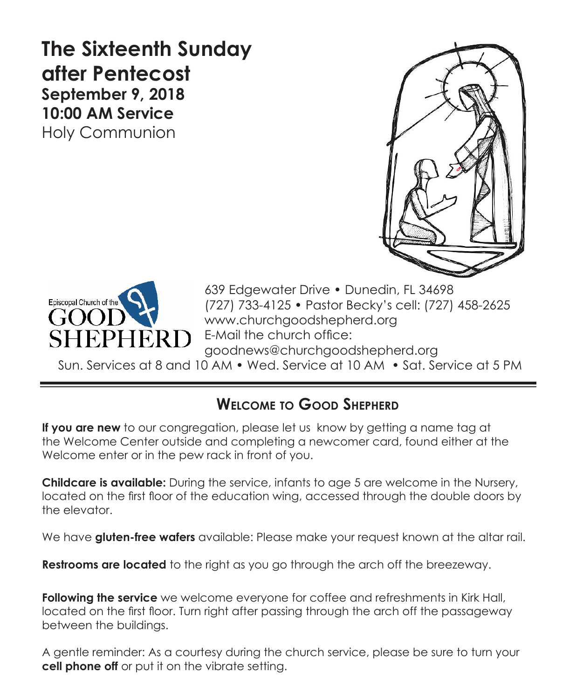**The Sixteenth Sunday after Pentecost September 9, 2018 10:00 AM Service**  Holy Communion





639 Edgewater Drive • Dunedin, FL 34698 (727) 733-4125 • Pastor Becky's cell: (727) 458-2625 www.churchgoodshepherd.org E-Mail the church office:

goodnews@churchgoodshepherd.org

Sun. Services at 8 and 10 AM • Wed. Service at 10 AM • Sat. Service at 5 PM

# **Welcome to Good Shepherd**

**If you are new** to our congregation, please let us know by getting a name tag at the Welcome Center outside and completing a newcomer card, found either at the Welcome enter or in the pew rack in front of you.

**Childcare is available:** During the service, infants to age 5 are welcome in the Nursery, located on the first floor of the education wing, accessed through the double doors by the elevator.

We have **gluten-free wafers** available: Please make your request known at the altar rail.

**Restrooms are located** to the right as you go through the arch off the breezeway.

**Following the service** we welcome everyone for coffee and refreshments in Kirk Hall, located on the first floor. Turn right after passing through the arch off the passageway between the buildings.

A gentle reminder: As a courtesy during the church service, please be sure to turn your **cell phone off** or put it on the vibrate setting.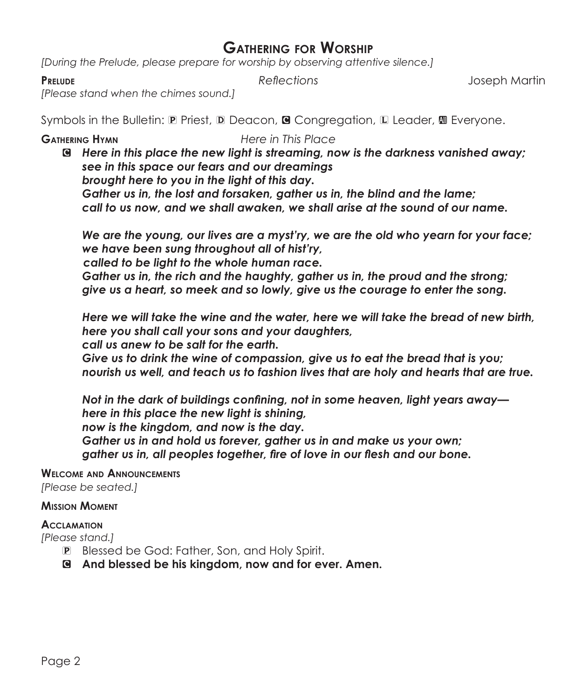# **Gathering for Worship**

*[During the Prelude, please prepare for worship by observing attentive silence.]*

**Prelude** *Reflections* Joseph Martin

*[Please stand when the chimes sound.]*

Symbols in the Bulletin:  $\mathbb D$  Priest,  $\mathbb D$  Deacon,  $\mathbb Q$  Congregation,  $\mathbb D$  Leader,  $\mathbb Q$  Everyone.

**Gathering Hymn** *Here in This Place*

C *Here in this place the new light is streaming, now is the darkness vanished away; see in this space our fears and our dreamings brought here to you in the light of this day. Gather us in, the lost and forsaken, gather us in, the blind and the lame; call to us now, and we shall awaken, we shall arise at the sound of our name.*

*We are the young, our lives are a myst'ry, we are the old who yearn for your face; we have been sung throughout all of hist'ry,* 

*called to be light to the whole human race.*

*Gather us in, the rich and the haughty, gather us in, the proud and the strong; give us a heart, so meek and so lowly, give us the courage to enter the song.*

*Here we will take the wine and the water, here we will take the bread of new birth, here you shall call your sons and your daughters, call us anew to be salt for the earth.*

*Give us to drink the wine of compassion, give us to eat the bread that is you; nourish us well, and teach us to fashion lives that are holy and hearts that are true.*

*Not in the dark of buildings confining, not in some heaven, light years away here in this place the new light is shining,* 

*now is the kingdom, and now is the day.*

*Gather us in and hold us forever, gather us in and make us your own; gather us in, all peoples together, fire of love in our flesh and our bone.*

## **Welcome and Announcements**

*[Please be seated.]*

## **Mission Moment**

## **Acclamation**

*[Please stand.]*

- P Blessed be God: Father, Son, and Holy Spirit.
- C **And blessed be his kingdom, now and for ever. Amen.**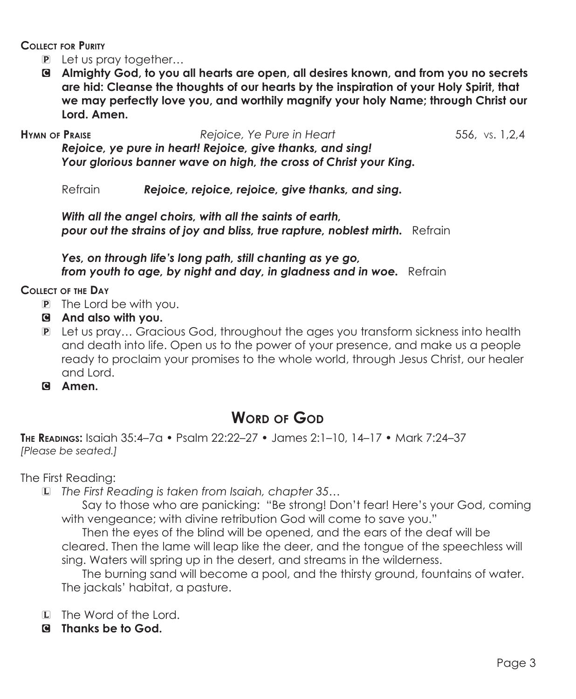**Collect for Purity**

- P Let us pray together…
- C **Almighty God, to you all hearts are open, all desires known, and from you no secrets are hid: Cleanse the thoughts of our hearts by the inspiration of your Holy Spirit, that we may perfectly love you, and worthily magnify your holy Name; through Christ our Lord. Amen.**

**Hymn of Praise** *Rejoice, Ye Pure in Heart* 556, vs. 1,2,4

*Rejoice, ye pure in heart! Rejoice, give thanks, and sing! Your glorious banner wave on high, the cross of Christ your King.*

Refrain *Rejoice, rejoice, rejoice, give thanks, and sing.*

*With all the angel choirs, with all the saints of earth, pour out the strains of joy and bliss, true rapture, noblest mirth.* Refrain

*Yes, on through life's long path, still chanting as ye go, from youth to age, by night and day, in gladness and in woe.* Refrain

## **Collect of the Day**

- P The Lord be with you.
- C **And also with you.**
- P Let us pray… Gracious God, throughout the ages you transform sickness into health and death into life. Open us to the power of your presence, and make us a people ready to proclaim your promises to the whole world, through Jesus Christ, our healer and Lord.
- C **Amen.**

# **WORD OF GOD**

**The Readings:** Isaiah 35:4–7a • Psalm 22:22–27 • James 2:1–10, 14–17 • Mark 7:24–37 *[Please be seated.]*

The First Reading:

L *The First Reading is taken from Isaiah, chapter 35…*

Say to those who are panicking: "Be strong! Don't fear! Here's your God, coming with vengeance; with divine retribution God will come to save you."

Then the eyes of the blind will be opened, and the ears of the deaf will be cleared. Then the lame will leap like the deer, and the tongue of the speechless will sing. Waters will spring up in the desert, and streams in the wilderness.

The burning sand will become a pool, and the thirsty ground, fountains of water. The jackals' habitat, a pasture.

- L The Word of the Lord.
- C **Thanks be to God.**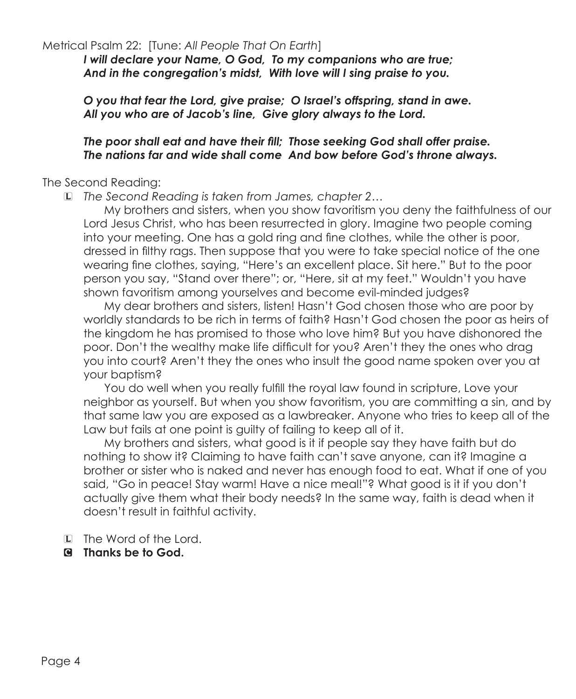Metrical Psalm 22: [Tune: *All People That On Earth*]

*I will declare your Name, O God, To my companions who are true; And in the congregation's midst, With love will I sing praise to you.*

*O you that fear the Lord, give praise; O Israel's offspring, stand in awe. All you who are of Jacob's line, Give glory always to the Lord.*

## *The poor shall eat and have their fill; Those seeking God shall offer praise. The nations far and wide shall come And bow before God's throne always.*

The Second Reading:

L *The Second Reading is taken from James, chapter 2…*

 My brothers and sisters, when you show favoritism you deny the faithfulness of our Lord Jesus Christ, who has been resurrected in glory. Imagine two people coming into your meeting. One has a gold ring and fine clothes, while the other is poor, dressed in filthy rags. Then suppose that you were to take special notice of the one wearing fine clothes, saying, "Here's an excellent place. Sit here." But to the poor person you say, "Stand over there"; or, "Here, sit at my feet." Wouldn't you have shown favoritism among yourselves and become evil-minded judges?

My dear brothers and sisters, listen! Hasn't God chosen those who are poor by worldly standards to be rich in terms of faith? Hasn't God chosen the poor as heirs of the kingdom he has promised to those who love him? But you have dishonored the poor. Don't the wealthy make life difficult for you? Aren't they the ones who drag you into court? Aren't they the ones who insult the good name spoken over you at your baptism?

You do well when you really fulfill the royal law found in scripture, Love your neighbor as yourself. But when you show favoritism, you are committing a sin, and by that same law you are exposed as a lawbreaker. Anyone who tries to keep all of the Law but fails at one point is guilty of failing to keep all of it.

 My brothers and sisters, what good is it if people say they have faith but do nothing to show it? Claiming to have faith can't save anyone, can it? Imagine a brother or sister who is naked and never has enough food to eat. What if one of you said, "Go in peace! Stay warm! Have a nice meal!"? What good is it if you don't actually give them what their body needs? In the same way, faith is dead when it doesn't result in faithful activity.

- L The Word of the Lord.
- C **Thanks be to God.**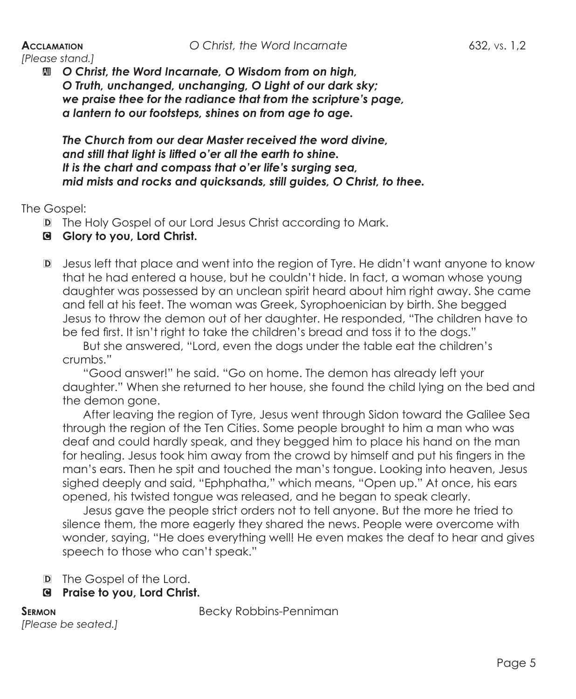*[Please stand.]*

a *O Christ, the Word Incarnate, O Wisdom from on high, O Truth, unchanged, unchanging, O Light of our dark sky; we praise thee for the radiance that from the scripture's page, a lantern to our footsteps, shines on from age to age.*

*The Church from our dear Master received the word divine, and still that light is lifted o'er all the earth to shine. It is the chart and compass that o'er life's surging sea, mid mists and rocks and quicksands, still guides, O Christ, to thee.*

The Gospel:

- D The Holy Gospel of our Lord Jesus Christ according to Mark.
- C **Glory to you, Lord Christ.**
- D Jesus left that place and went into the region of Tyre. He didn't want anyone to know that he had entered a house, but he couldn't hide. In fact, a woman whose young daughter was possessed by an unclean spirit heard about him right away. She came and fell at his feet. The woman was Greek, Syrophoenician by birth. She begged Jesus to throw the demon out of her daughter. He responded, "The children have to be fed first. It isn't right to take the children's bread and toss it to the dogs."

But she answered, "Lord, even the dogs under the table eat the children's crumbs."

"Good answer!" he said. "Go on home. The demon has already left your daughter." When she returned to her house, she found the child lying on the bed and the demon gone.

After leaving the region of Tyre, Jesus went through Sidon toward the Galilee Sea through the region of the Ten Cities. Some people brought to him a man who was deaf and could hardly speak, and they begged him to place his hand on the man for healing. Jesus took him away from the crowd by himself and put his fingers in the man's ears. Then he spit and touched the man's tongue. Looking into heaven, Jesus sighed deeply and said, "Ephphatha," which means, "Open up." At once, his ears opened, his twisted tongue was released, and he began to speak clearly.

Jesus gave the people strict orders not to tell anyone. But the more he tried to silence them, the more eagerly they shared the news. People were overcome with wonder, saying, "He does everything well! He even makes the deaf to hear and gives speech to those who can't speak."

- D The Gospel of the Lord.
- C **Praise to you, Lord Christ.**

**SERMON** Becky Robbins-Penniman

*[Please be seated.]*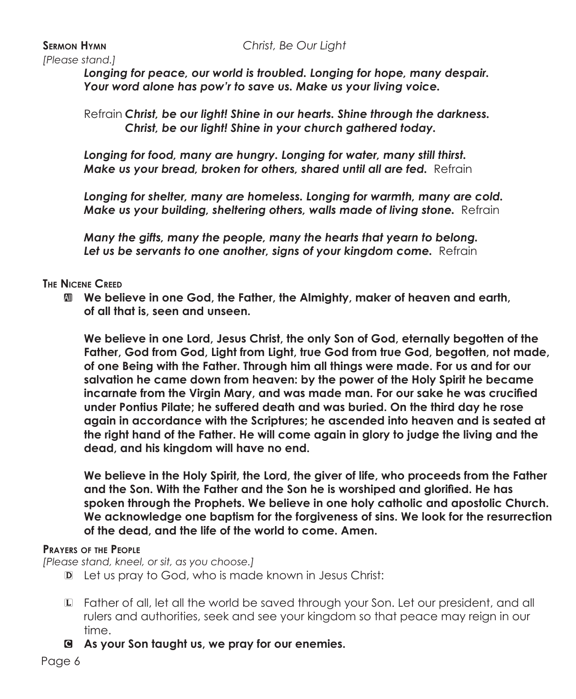## **Sermon Hymn** *Christ, Be Our Light*

*[Please stand.]*

*Longing for peace, our world is troubled. Longing for hope, many despair. Your word alone has pow'r to save us. Make us your living voice.* 

Refrain *Christ, be our light! Shine in our hearts. Shine through the darkness. Christ, be our light! Shine in your church gathered today.*

*Longing for food, many are hungry. Longing for water, many still thirst. Make us your bread, broken for others, shared until all are fed.* Refrain

*Longing for shelter, many are homeless. Longing for warmth, many are cold. Make us your building, sheltering others, walls made of living stone. Refrain* 

*Many the gifts, many the people, many the hearts that yearn to belong.*  Let us be servants to one another, signs of your kingdom come. Refrain

#### **The Nicene Creed**

 $\mathbf{M}$  **We believe in one God, the Father, the Almighty, maker of heaven and earth, of all that is, seen and unseen.**

 **We believe in one Lord, Jesus Christ, the only Son of God, eternally begotten of the Father, God from God, Light from Light, true God from true God, begotten, not made, of one Being with the Father. Through him all things were made. For us and for our salvation he came down from heaven: by the power of the Holy Spirit he became incarnate from the Virgin Mary, and was made man. For our sake he was crucified under Pontius Pilate; he suffered death and was buried. On the third day he rose again in accordance with the Scriptures; he ascended into heaven and is seated at the right hand of the Father. He will come again in glory to judge the living and the dead, and his kingdom will have no end.**

 **We believe in the Holy Spirit, the Lord, the giver of life, who proceeds from the Father and the Son. With the Father and the Son he is worshiped and glorified. He has spoken through the Prophets. We believe in one holy catholic and apostolic Church. We acknowledge one baptism for the forgiveness of sins. We look for the resurrection of the dead, and the life of the world to come. Amen.**

#### **Prayers of the People**

*[Please stand, kneel, or sit, as you choose.]*

- D Let us pray to God, who is made known in Jesus Christ:
- L Father of all, let all the world be saved through your Son. Let our president, and all rulers and authorities, seek and see your kingdom so that peace may reign in our time.
- C **As your Son taught us, we pray for our enemies.**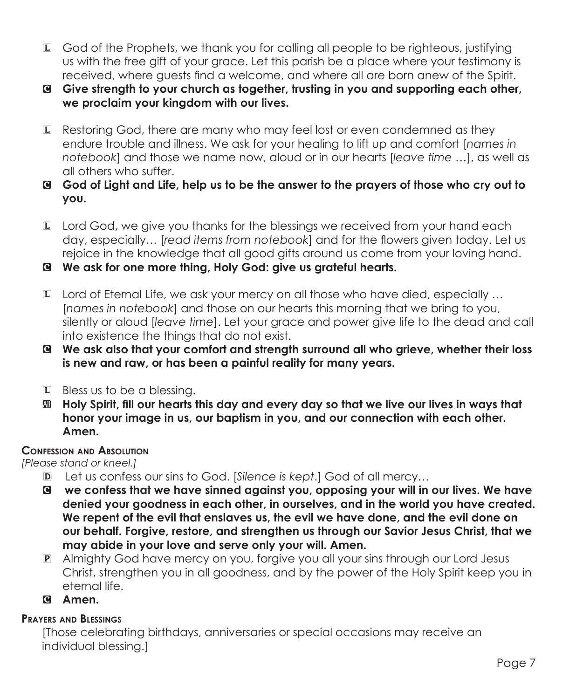- L God of the Prophets, we thank you for calling all people to be righteous, justifying us with the free gift of your grace. Let this parish be a place where your testimony is received, where guests find a welcome, and where all are born anew of the Spirit.
- G Give strength to your church as together, trusting in you and supporting each other, **we proclaim your kingdom with our lives.**
- L Restoring God, there are many who may feel lost or even condemned as they endure trouble and illness. We ask for your healing to lift up and comfort [*names in notebook*] and those we name now, aloud or in our hearts [*leave time …*], as well as all others who suffer.
- C **God of Light and Life, help us to be the answer to the prayers of those who cry out to you.**
- L Lord God, we give you thanks for the blessings we received from your hand each day, especially… [*read items from notebook*] and for the flowers given today. Let us rejoice in the knowledge that all good gifts around us come from your loving hand.

C **We ask for one more thing, Holy God: give us grateful hearts.**

- L Lord of Eternal Life, we ask your mercy on all those who have died, especially … [*names in notebook*] and those on our hearts this morning that we bring to you, silently or aloud [*leave time*]. Let your grace and power give life to the dead and call into existence the things that do not exist.
- C **We ask also that your comfort and strength surround all who grieve, whether their loss is new and raw, or has been a painful reality for many years.**
- L Bless us to be a blessing.
- **M** Holy Spirit, fill our hearts this day and every day so that we live our lives in ways that **honor your image in us, our baptism in you, and our connection with each other. Amen.**

## **Confession and Absolution**

*[Please stand or kneel.]*

- D Let us confess our sins to God. [*Silence is kept*.] God of all mercy…
- C **we confess that we have sinned against you, opposing your will in our lives. We have denied your goodness in each other, in ourselves, and in the world you have created. We repent of the evil that enslaves us, the evil we have done, and the evil done on our behalf. Forgive, restore, and strengthen us through our Savior Jesus Christ, that we may abide in your love and serve only your will. Amen.**
- P Almighty God have mercy on you, forgive you all your sins through our Lord Jesus Christ, strengthen you in all goodness, and by the power of the Holy Spirit keep you in eternal life.
- C **Amen.**

## **Prayers and Blessings**

[Those celebrating birthdays, anniversaries or special occasions may receive an individual blessing.]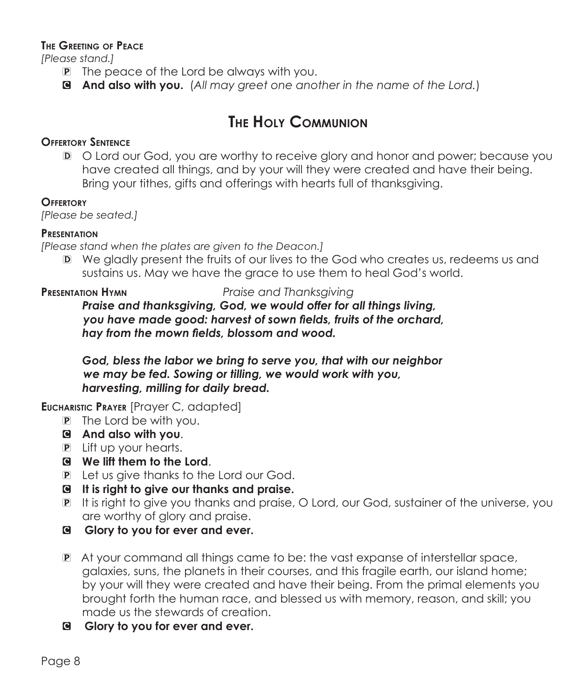### **The Greeting of Peace**

*[Please stand.]*

- P The peace of the Lord be always with you.
- C **And also with you.** (*All may greet one another in the name of the Lord.*)

# **The Holy Communion**

### **Offertory Sentence**

D O Lord our God, you are worthy to receive glory and honor and power; because you have created all things, and by your will they were created and have their being. Bring your tithes, gifts and offerings with hearts full of thanksgiving.

#### **Offertory**

*[Please be seated.]*

## **Presentation**

*[Please stand when the plates are given to the Deacon.]*

D We gladly present the fruits of our lives to the God who creates us, redeems us and sustains us. May we have the grace to use them to heal God's world.

**Presentation Hymn** *Praise and Thanksgiving*

*Praise and thanksgiving, God, we would offer for all things living, you have made good: harvest of sown fields, fruits of the orchard, hay from the mown fields, blossom and wood.*

*God, bless the labor we bring to serve you, that with our neighbor we may be fed. Sowing or tilling, we would work with you, harvesting, milling for daily bread.*

## **Eucharistic Prayer** [Prayer C, adapted]

- P The Lord be with you.
- C **And also with you**.
- P Lift up your hearts.
- C **We lift them to the Lord**.
- P Let us give thanks to the Lord our God.
- C **It is right to give our thanks and praise.**
- P It is right to give you thanks and praise, O Lord, our God, sustainer of the universe, you are worthy of glory and praise.
- C **Glory to you for ever and ever.**
- P At your command all things came to be: the vast expanse of interstellar space, galaxies, suns, the planets in their courses, and this fragile earth, our island home; by your will they were created and have their being. From the primal elements you brought forth the human race, and blessed us with memory, reason, and skill; you made us the stewards of creation.
- G Glory to you for ever and ever.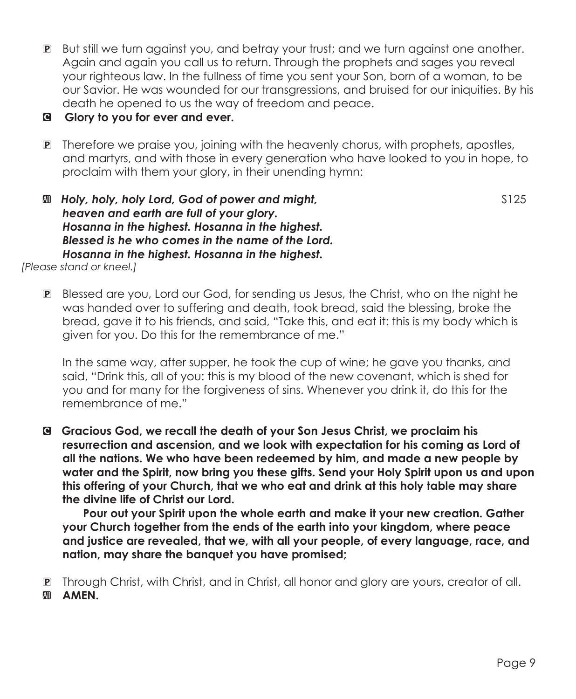- P But still we turn against you, and betray your trust; and we turn against one another. Again and again you call us to return. Through the prophets and sages you reveal your righteous law. In the fullness of time you sent your Son, born of a woman, to be our Savior. He was wounded for our transgressions, and bruised for our iniquities. By his death he opened to us the way of freedom and peace.
- G Glory to you for ever and ever.
- P Therefore we praise you, joining with the heavenly chorus, with prophets, apostles, and martyrs, and with those in every generation who have looked to you in hope, to proclaim with them your glory, in their unending hymn:
- a *Holy, holy, holy Lord, God of power and might,* S125  *heaven and earth are full of your glory. Hosanna in the highest. Hosanna in the highest. Blessed is he who comes in the name of the Lord. Hosanna in the highest. Hosanna in the highest.*

*[Please stand or kneel.]*

P Blessed are you, Lord our God, for sending us Jesus, the Christ, who on the night he was handed over to suffering and death, took bread, said the blessing, broke the bread, gave it to his friends, and said, "Take this, and eat it: this is my body which is given for you. Do this for the remembrance of me."

 In the same way, after supper, he took the cup of wine; he gave you thanks, and said, "Drink this, all of you: this is my blood of the new covenant, which is shed for you and for many for the forgiveness of sins. Whenever you drink it, do this for the remembrance of me."

C **Gracious God, we recall the death of your Son Jesus Christ, we proclaim his resurrection and ascension, and we look with expectation for his coming as Lord of all the nations. We who have been redeemed by him, and made a new people by water and the Spirit, now bring you these gifts. Send your Holy Spirit upon us and upon this offering of your Church, that we who eat and drink at this holy table may share the divine life of Christ our Lord.**

 **Pour out your Spirit upon the whole earth and make it your new creation. Gather your Church together from the ends of the earth into your kingdom, where peace and justice are revealed, that we, with all your people, of every language, race, and nation, may share the banquet you have promised;**

P Through Christ, with Christ, and in Christ, all honor and glory are yours, creator of all. **AMEN.**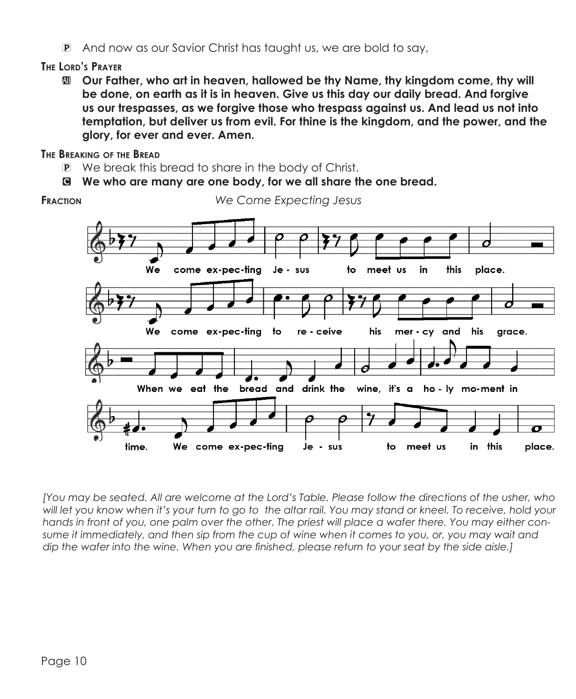P And now as our Savior Christ has taught us, we are bold to say,

**The Lord's Prayer**

a **Our Father, who art in heaven, hallowed be thy Name, thy kingdom come, thy will be done, on earth as it is in heaven. Give us this day our daily bread. And forgive us our trespasses, as we forgive those who trespass against us. And lead us not into temptation, but deliver us from evil. For thine is the kingdom, and the power, and the glory, for ever and ever. Amen.**

**The Breaking of the Bread**

- P We break this bread to share in the body of Christ.
- C **We who are many are one body, for we all share the one bread.**



*[You may be seated. All are welcome at the Lord's Table. Please follow the directions of the usher, who*  will let you know when it's your turn to go to the altar rail. You may stand or kneel. To receive, hold your *hands in front of you, one palm over the other. The priest will place a wafer there. You may either consume it immediately, and then sip from the cup of wine when it comes to you, or, you may wait and dip the wafer into the wine. When you are finished, please return to your seat by the side aisle.]*

**Fraction** *We Come Expecting Jesus*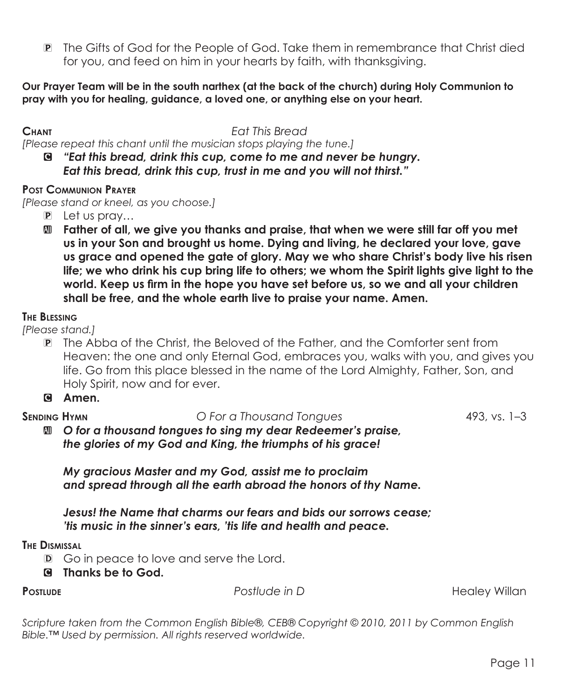P The Gifts of God for the People of God. Take them in remembrance that Christ died for you, and feed on him in your hearts by faith, with thanksgiving.

**Our Prayer Team will be in the south narthex (at the back of the church) during Holy Communion to pray with you for healing, guidance, a loved one, or anything else on your heart.** 

**Chant** *Eat This Bread*

*[Please repeat this chant until the musician stops playing the tune.]*

C *"Eat this bread, drink this cup, come to me and never be hungry. Eat this bread, drink this cup, trust in me and you will not thirst."* 

## **Post Communion Prayer**

*[Please stand or kneel, as you choose.]*

- P Let us pray…
- a **Father of all, we give you thanks and praise, that when we were still far off you met us in your Son and brought us home. Dying and living, he declared your love, gave us grace and opened the gate of glory. May we who share Christ's body live his risen life; we who drink his cup bring life to others; we whom the Spirit lights give light to the world. Keep us firm in the hope you have set before us, so we and all your children shall be free, and the whole earth live to praise your name. Amen.**

## **The Blessing**

*[Please stand.]*

P The Abba of the Christ, the Beloved of the Father, and the Comforter sent from Heaven: the one and only Eternal God, embraces you, walks with you, and gives you life. Go from this place blessed in the name of the Lord Almighty, Father, Son, and Holy Spirit, now and for ever.

## C **Amen.**

**SENDING HYMN** *O For a Thousand Tongues* 493, vs. 1–3

a *O for a thousand tongues to sing my dear Redeemer's praise, the glories of my God and King, the triumphs of his grace!*

*My gracious Master and my God, assist me to proclaim and spread through all the earth abroad the honors of thy Name.*

*Jesus! the Name that charms our fears and bids our sorrows cease; 'tis music in the sinner's ears, 'tis life and health and peace.*

#### **The Dismissal**

- D Go in peace to love and serve the Lord.
- C **Thanks be to God.**

**PostLube PostLube PostLube** *PostLube in D* **Healey Willan** 

*Scripture taken from the Common English Bible®, CEB® Copyright © 2010, 2011 by Common English Bible.™ Used by permission. All rights reserved worldwide.*